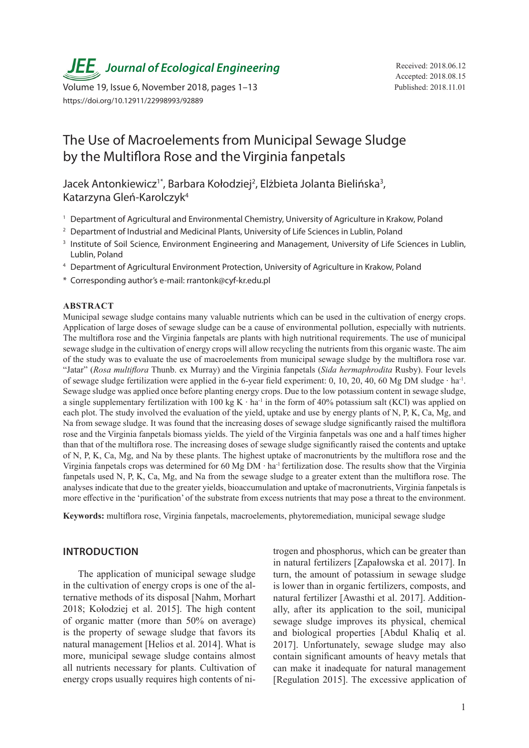**JEE** Journal of Ecological Engineering Received: 2018.06.12

Volume 19, Issue 6, November 2018, pages 1-13 Published: 2018.11.01 https://doi.org/10.12911/22998993/92889

# The Use of Macroelements from Municipal Sewage Sludge by the Multiflora Rose and the Virginia fanpetals

Jacek Antonkiewicz<sup>1\*</sup>, Barbara Kołodziej<sup>2</sup>, Elżbieta Jolanta Bielińska<sup>3</sup>, Katarzyna Gleń-Karolczyk4

- <sup>1</sup> Department of Agricultural and Environmental Chemistry, University of Agriculture in Krakow, Poland
- <sup>2</sup> Department of Industrial and Medicinal Plants, University of Life Sciences in Lublin, Poland
- <sup>3</sup> Institute of Soil Science, Environment Engineering and Management, University of Life Sciences in Lublin, Lublin, Poland
- <sup>4</sup> Department of Agricultural Environment Protection, University of Agriculture in Krakow, Poland
- \* Corresponding author's e-mail: rrantonk@cyf-kr.edu.pl

#### **ABSTRACT**

Municipal sewage sludge contains many valuable nutrients which can be used in the cultivation of energy crops. Application of large doses of sewage sludge can be a cause of environmental pollution, especially with nutrients. The multiflora rose and the Virginia fanpetals are plants with high nutritional requirements. The use of municipal sewage sludge in the cultivation of energy crops will allow recycling the nutrients from this organic waste. The aim of the study was to evaluate the use of macroelements from municipal sewage sludge by the multiflora rose var. "Jatar" (*Rosa multiflora* Thunb. ex Murray) and the Virginia fanpetals (*Sida hermaphrodita* Rusby). Four levels of sewage sludge fertilization were applied in the 6-year field experiment: 0, 10, 20, 40, 60 Mg DM sludge ∙ ha-1. Sewage sludge was applied once before planting energy crops. Due to the low potassium content in sewage sludge, a single supplementary fertilization with 100 kg K ⋅ ha<sup>-1</sup> in the form of 40% potassium salt (KCl) was applied on each plot. The study involved the evaluation of the yield, uptake and use by energy plants of N, P, K, Ca, Mg, and Na from sewage sludge. It was found that the increasing doses of sewage sludge significantly raised the multiflora rose and the Virginia fanpetals biomass yields. The yield of the Virginia fanpetals was one and a half times higher than that of the multiflora rose. The increasing doses of sewage sludge significantly raised the contents and uptake of N, P, K, Ca, Mg, and Na by these plants. The highest uptake of macronutrients by the multiflora rose and the Virginia fanpetals crops was determined for 60 Mg DM ∙ ha-1 fertilization dose. The results show that the Virginia fanpetals used N, P, K, Ca, Mg, and Na from the sewage sludge to a greater extent than the multiflora rose. The analyses indicate that due to the greater yields, bioaccumulation and uptake of macronutrients, Virginia fanpetals is more effective in the 'purification' of the substrate from excess nutrients that may pose a threat to the environment.

**Keywords:** multiflora rose, Virginia fanpetals, macroelements, phytoremediation, municipal sewage sludge

# **INTRODUCTION**

The application of municipal sewage sludge in the cultivation of energy crops is one of the alternative methods of its disposal [Nahm, Morhart 2018; Kołodziej et al. 2015]. The high content of organic matter (more than 50% on average) is the property of sewage sludge that favors its natural management [Helios et al. 2014]. What is more, municipal sewage sludge contains almost all nutrients necessary for plants. Cultivation of energy crops usually requires high contents of nitrogen and phosphorus, which can be greater than in natural fertilizers [Zapałowska et al. 2017]. In turn, the amount of potassium in sewage sludge is lower than in organic fertilizers, composts, and natural fertilizer [Awasthi et al. 2017]. Additionally, after its application to the soil, municipal sewage sludge improves its physical, chemical and biological properties [Abdul Khaliq et al. 2017]. Unfortunately, sewage sludge may also contain significant amounts of heavy metals that can make it inadequate for natural management [Regulation 2015]. The excessive application of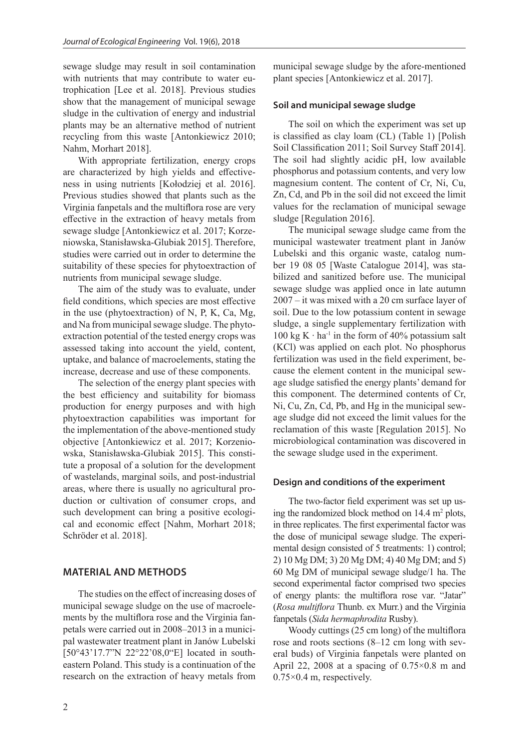sewage sludge may result in soil contamination with nutrients that may contribute to water eutrophication [Lee et al. 2018]. Previous studies show that the management of municipal sewage sludge in the cultivation of energy and industrial plants may be an alternative method of nutrient recycling from this waste [Antonkiewicz 2010; Nahm, Morhart 2018].

With appropriate fertilization, energy crops are characterized by high yields and effectiveness in using nutrients [Kołodziej et al. 2016]. Previous studies showed that plants such as the Virginia fanpetals and the multiflora rose are very effective in the extraction of heavy metals from sewage sludge [Antonkiewicz et al. 2017; Korzeniowska, Stanisławska-Glubiak 2015]. Therefore, studies were carried out in order to determine the suitability of these species for phytoextraction of nutrients from municipal sewage sludge.

The aim of the study was to evaluate, under field conditions, which species are most effective in the use (phytoextraction) of N, P, K, Ca, Mg, and Na from municipal sewage sludge. The phytoextraction potential of the tested energy crops was assessed taking into account the yield, content, uptake, and balance of macroelements, stating the increase, decrease and use of these components.

The selection of the energy plant species with the best efficiency and suitability for biomass production for energy purposes and with high phytoextraction capabilities was important for the implementation of the above-mentioned study objective [Antonkiewicz et al. 2017; Korzeniowska, Stanisławska-Glubiak 2015]. This constitute a proposal of a solution for the development of wastelands, marginal soils, and post-industrial areas, where there is usually no agricultural production or cultivation of consumer crops, and such development can bring a positive ecological and economic effect [Nahm, Morhart 2018; Schröder et al. 2018].

# **MATERIAL AND METHODS**

The studies on the effect of increasing doses of municipal sewage sludge on the use of macroelements by the multiflora rose and the Virginia fanpetals were carried out in 2008–2013 in a municipal wastewater treatment plant in Janów Lubelski [50°43'17.7"N 22°22'08,0"E] located in southeastern Poland. This study is a continuation of the research on the extraction of heavy metals from

municipal sewage sludge by the afore-mentioned plant species [Antonkiewicz et al. 2017].

#### **Soil and municipal sewage sludge**

The soil on which the experiment was set up is classified as clay loam (CL) (Table 1) [Polish Soil Classification 2011; Soil Survey Staff 2014]. The soil had slightly acidic pH, low available phosphorus and potassium contents, and very low magnesium content. The content of Cr, Ni, Cu, Zn, Cd, and Pb in the soil did not exceed the limit values for the reclamation of municipal sewage sludge [Regulation 2016].

The municipal sewage sludge came from the municipal wastewater treatment plant in Janów Lubelski and this organic waste, catalog number 19 08 05 [Waste Catalogue 2014], was stabilized and sanitized before use. The municipal sewage sludge was applied once in late autumn 2007 – it was mixed with a 20 cm surface layer of soil. Due to the low potassium content in sewage sludge, a single supplementary fertilization with  $100 \text{ kg K} \cdot \text{ha}^{-1}$  in the form of 40% potassium salt (KCl) was applied on each plot. No phosphorus fertilization was used in the field experiment, because the element content in the municipal sewage sludge satisfied the energy plants' demand for this component. The determined contents of Cr, Ni, Cu, Zn, Cd, Pb, and Hg in the municipal sewage sludge did not exceed the limit values for the reclamation of this waste [Regulation 2015]. No microbiological contamination was discovered in the sewage sludge used in the experiment.

#### **Design and conditions of the experiment**

The two-factor field experiment was set up using the randomized block method on  $14.4 \text{ m}^2$  plots, in three replicates. The first experimental factor was the dose of municipal sewage sludge. The experimental design consisted of 5 treatments: 1) control; 2) 10 Mg DM; 3) 20 Mg DM; 4) 40 Mg DM; and 5) 60 Mg DM of municipal sewage sludge/1 ha. The second experimental factor comprised two species of energy plants: the multiflora rose var. "Jatar" (*Rosa multiflora* Thunb. ex Murr.) and the Virginia fanpetals (*Sida hermaphrodita* Rusby).

Woody cuttings (25 cm long) of the multiflora rose and roots sections (8–12 cm long with several buds) of Virginia fanpetals were planted on April 22, 2008 at a spacing of  $0.75 \times 0.8$  m and 0.75×0.4 m, respectively.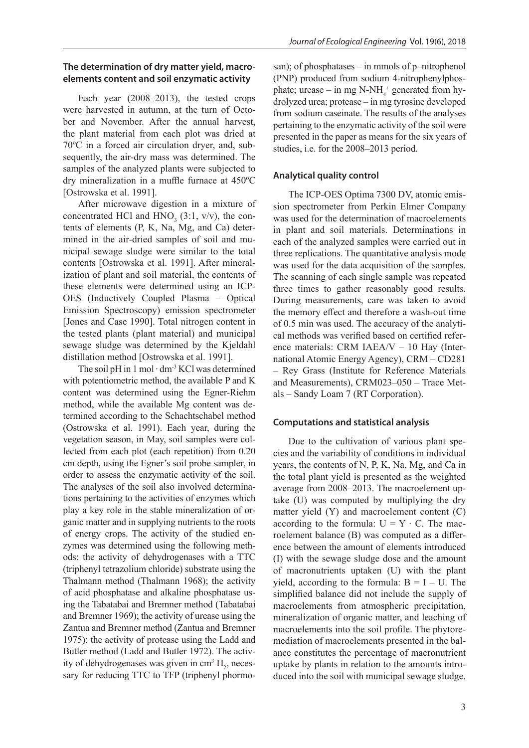# **The determination of dry matter yield, macroelements content and soil enzymatic activity**

Each year (2008–2013), the tested crops were harvested in autumn, at the turn of October and November. After the annual harvest, the plant material from each plot was dried at 70ºC in a forced air circulation dryer, and, subsequently, the air-dry mass was determined. The samples of the analyzed plants were subjected to dry mineralization in a muffle furnace at 450ºC [Ostrowska et al. 1991].

After microwave digestion in a mixture of concentrated HCl and  $HNO<sub>3</sub>$  (3:1, v/v), the contents of elements (P, K, Na, Mg, and Ca) determined in the air-dried samples of soil and municipal sewage sludge were similar to the total contents [Ostrowska et al. 1991]. After mineralization of plant and soil material, the contents of these elements were determined using an ICP-OES (Inductively Coupled Plasma – Optical Emission Spectroscopy) emission spectrometer [Jones and Case 1990]. Total nitrogen content in the tested plants (plant material) and municipal sewage sludge was determined by the Kjeldahl distillation method [Ostrowska et al. 1991].

The soil pH in 1 mol ⋅ dm<sup>-3</sup> KCl was determined with potentiometric method, the available P and K content was determined using the Egner-Riehm method, while the available Mg content was determined according to the Schachtschabel method (Ostrowska et al. 1991). Each year, during the vegetation season, in May, soil samples were collected from each plot (each repetition) from 0.20 cm depth, using the Egner's soil probe sampler, in order to assess the enzymatic activity of the soil. The analyses of the soil also involved determinations pertaining to the activities of enzymes which play a key role in the stable mineralization of organic matter and in supplying nutrients to the roots of energy crops. The activity of the studied enzymes was determined using the following methods: the activity of dehydrogenases with a TTC (triphenyl tetrazolium chloride) substrate using the Thalmann method (Thalmann 1968); the activity of acid phosphatase and alkaline phosphatase using the Tabatabai and Bremner method (Tabatabai and Bremner 1969); the activity of urease using the Zantua and Bremner method (Zantua and Bremner 1975); the activity of protease using the Ladd and Butler method (Ladd and Butler 1972). The activity of dehydrogenases was given in  $\text{cm}^3 \text{ H}_2$ , necessary for reducing TTC to TFP (triphenyl phormosan); of phosphatases – in mmols of p–nitrophenol (PNP) produced from sodium 4-nitrophenylphosphate; urease – in mg  $N-NH_4^+$  generated from hydrolyzed urea; protease – in mg tyrosine developed from sodium caseinate. The results of the analyses pertaining to the enzymatic activity of the soil were presented in the paper as means for the six years of studies, i.e. for the 2008–2013 period.

# **Analytical quality control**

The ICP-OES Optima 7300 DV, atomic emission spectrometer from Perkin Elmer Company was used for the determination of macroelements in plant and soil materials. Determinations in each of the analyzed samples were carried out in three replications. The quantitative analysis mode was used for the data acquisition of the samples. The scanning of each single sample was repeated three times to gather reasonably good results. During measurements, care was taken to avoid the memory effect and therefore a wash-out time of 0.5 min was used. The accuracy of the analytical methods was verified based on certified reference materials: CRM IAEA/V – 10 Hay (International Atomic Energy Agency), CRM – CD281 – Rey Grass (Institute for Reference Materials and Measurements), CRM023–050 – Trace Metals – Sandy Loam 7 (RT Corporation).

# **Computations and statistical analysis**

Due to the cultivation of various plant species and the variability of conditions in individual years, the contents of N, P, K, Na, Mg, and Ca in the total plant yield is presented as the weighted average from 2008–2013. The macroelement uptake (U) was computed by multiplying the dry matter yield (Y) and macroelement content (C) according to the formula:  $U = Y \cdot C$ . The macroelement balance (B) was computed as a difference between the amount of elements introduced (I) with the sewage sludge dose and the amount of macronutrients uptaken (U) with the plant yield, according to the formula:  $B = I - U$ . The simplified balance did not include the supply of macroelements from atmospheric precipitation, mineralization of organic matter, and leaching of macroelements into the soil profile. The phytoremediation of macroelements presented in the balance constitutes the percentage of macronutrient uptake by plants in relation to the amounts introduced into the soil with municipal sewage sludge.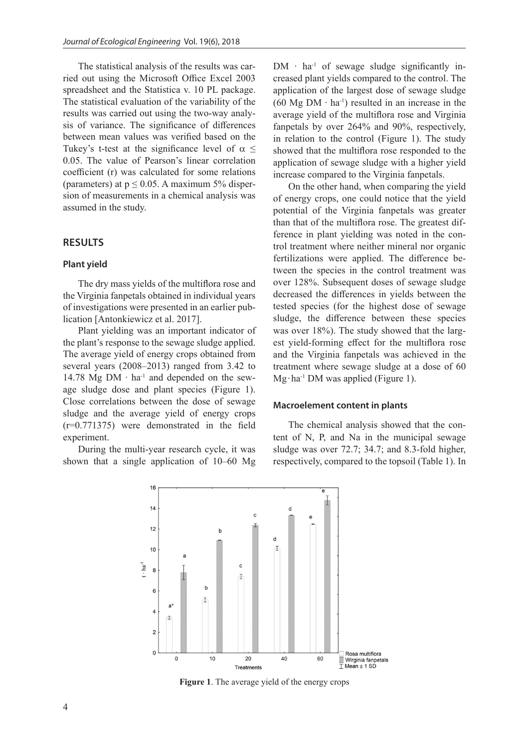The statistical analysis of the results was carried out using the Microsoft Office Excel 2003 spreadsheet and the Statistica v. 10 PL package. The statistical evaluation of the variability of the results was carried out using the two-way analysis of variance. The significance of differences between mean values was verified based on the Tukey's t-test at the significance level of  $\alpha \leq$ 0.05. The value of Pearson's linear correlation coefficient (r) was calculated for some relations (parameters) at  $p \le 0.05$ . A maximum 5% dispersion of measurements in a chemical analysis was assumed in the study.

# **RESULTS**

#### **Plant yield**

The dry mass yields of the multiflora rose and the Virginia fanpetals obtained in individual years of investigations were presented in an earlier publication [Antonkiewicz et al. 2017].

Plant yielding was an important indicator of the plant's response to the sewage sludge applied. The average yield of energy crops obtained from several years (2008–2013) ranged from 3.42 to 14.78 Mg DM ∙ ha-1 and depended on the sewage sludge dose and plant species (Figure 1). Close correlations between the dose of sewage sludge and the average yield of energy crops (r=0.771375) were demonstrated in the field experiment.

During the multi-year research cycle, it was shown that a single application of 10–60 Mg  $DM \cdot ha^{-1}$  of sewage sludge significantly increased plant yields compared to the control. The application of the largest dose of sewage sludge (60 Mg DM  $\cdot$  ha<sup>-1</sup>) resulted in an increase in the average yield of the multiflora rose and Virginia fanpetals by over 264% and 90%, respectively, in relation to the control (Figure 1). The study showed that the multiflora rose responded to the application of sewage sludge with a higher yield increase compared to the Virginia fanpetals.

On the other hand, when comparing the yield of energy crops, one could notice that the yield potential of the Virginia fanpetals was greater than that of the multiflora rose. The greatest difference in plant yielding was noted in the control treatment where neither mineral nor organic fertilizations were applied. The difference between the species in the control treatment was over 128%. Subsequent doses of sewage sludge decreased the differences in yields between the tested species (for the highest dose of sewage sludge, the difference between these species was over 18%). The study showed that the largest yield-forming effect for the multiflora rose and the Virginia fanpetals was achieved in the treatment where sewage sludge at a dose of 60 Mg∙ha-1 DM was applied (Figure 1).

#### **Macroelement content in plants**

The chemical analysis showed that the content of N, P, and Na in the municipal sewage sludge was over 72.7; 34.7; and 8.3-fold higher, respectively, compared to the topsoil (Table 1). In



**Figure 1**. The average yield of the energy crops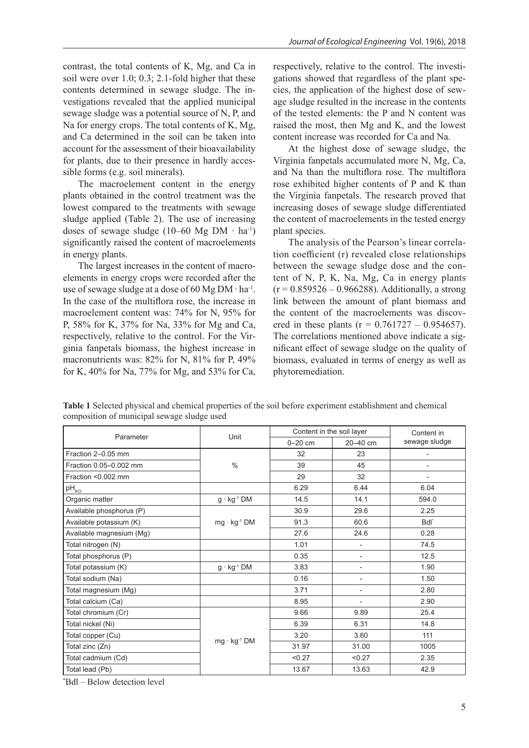contrast, the total contents of K, Mg, and Ca in soil were over 1.0; 0.3; 2.1-fold higher that these contents determined in sewage sludge. The investigations revealed that the applied municipal sewage sludge was a potential source of N, P, and Na for energy crops. The total contents of K, Mg, and Ca determined in the soil can be taken into account for the assessment of their bioavailability for plants, due to their presence in hardly accessible forms (e.g. soil minerals).

The macroelement content in the energy plants obtained in the control treatment was the lowest compared to the treatments with sewage sludge applied (Table 2). The use of increasing doses of sewage sludge (10–60 Mg DM  $\cdot$  ha<sup>-1</sup>) significantly raised the content of macroelements in energy plants.

The largest increases in the content of macroelements in energy crops were recorded after the use of sewage sludge at a dose of 60 Mg DM ∙ ha-1. In the case of the multiflora rose, the increase in macroelement content was: 74% for N, 95% for P, 58% for K, 37% for Na, 33% for Mg and Ca, respectively, relative to the control. For the Virginia fanpetals biomass, the highest increase in macronutrients was: 82% for N, 81% for P, 49% for K, 40% for Na, 77% for Mg, and 53% for Ca, respectively, relative to the control. The investigations showed that regardless of the plant species, the application of the highest dose of sewage sludge resulted in the increase in the contents of the tested elements: the P and N content was raised the most, then Mg and K, and the lowest content increase was recorded for Ca and Na.

At the highest dose of sewage sludge, the Virginia fanpetals accumulated more N, Mg, Ca, and Na than the multiflora rose. The multiflora rose exhibited higher contents of P and K than the Virginia fanpetals. The research proved that increasing doses of sewage sludge differentiated the content of macroelements in the tested energy plant species.

The analysis of the Pearson's linear correlation coefficient (r) revealed close relationships between the sewage sludge dose and the content of N, P, K, Na, Mg, Ca in energy plants  $(r = 0.859526 - 0.966288)$ . Additionally, a strong link between the amount of plant biomass and the content of the macroelements was discovered in these plants ( $r = 0.761727 - 0.954657$ ). The correlations mentioned above indicate a significant effect of sewage sludge on the quality of biomass, evaluated in terms of energy as well as phytoremediation.

**Table 1** Selected physical and chemical properties of the soil before experiment establishment and chemical composition of municipal sewage sludge used

| Parameter                |                       | Content in the soil layer | Content in               |                          |
|--------------------------|-----------------------|---------------------------|--------------------------|--------------------------|
|                          | Unit                  | $0 - 20$ cm               | 20-40 cm                 | sewage sludge            |
| Fraction 2-0.05 mm       |                       | 32                        | 23                       |                          |
| Fraction 0.05-0.002 mm   | $\frac{0}{0}$         | 39                        | 45                       | $\overline{\phantom{0}}$ |
| Fraction < 0.002 mm      |                       | 29                        | 32                       | -                        |
| $pH_{\text{KCl}}$        |                       | 6.29                      | 6.44                     | 6.04                     |
| Organic matter           | $g \cdot kg^{-1}$ DM  | 14.5                      | 14.1                     | 594.0                    |
| Available phosphorus (P) |                       | 30.9                      | 29.6                     | 2.25                     |
| Available potassium (K)  | $mg \cdot kg^{-1}$ DM | 91.3                      | 60.6                     | Bdl <sup>*</sup>         |
| Available magnesium (Mg) |                       | 27.6                      | 24.6                     | 0.28                     |
| Total nitrogen (N)       |                       | 1.01                      |                          | 74.5                     |
| Total phosphorus (P)     |                       | 0.35                      | ٠                        | 12.5                     |
| Total potassium (K)      | $g \cdot kg^{-1}$ DM  | 3.83                      | $\overline{\phantom{a}}$ | 1.90                     |
| Total sodium (Na)        |                       | 0.16                      | $\overline{\phantom{a}}$ | 1.50                     |
| Total magnesium (Mg)     |                       | 3.71                      | $\overline{\phantom{a}}$ | 2.80                     |
| Total calcium (Ca)       |                       | 8.95                      | $\overline{a}$           | 2.90                     |
| Total chromium (Cr)      |                       | 9.66                      | 9.89                     | 25.4                     |
| Total nickel (Ni)        | $mg \cdot kg^{-1}$ DM | 6.39                      | 6.31                     | 14.8                     |
| Total copper (Cu)        |                       | 3.20                      | 3.60                     | 111                      |
| Total zinc (Zn)          |                       | 31.97                     | 31.00                    | 1005                     |
| Total cadmium (Cd)       |                       | < 0.27                    | < 0.27                   | 2.35                     |
| Total lead (Pb)          |                       | 13.67                     | 13.63                    | 42.9                     |

\* Bdl – Below detection level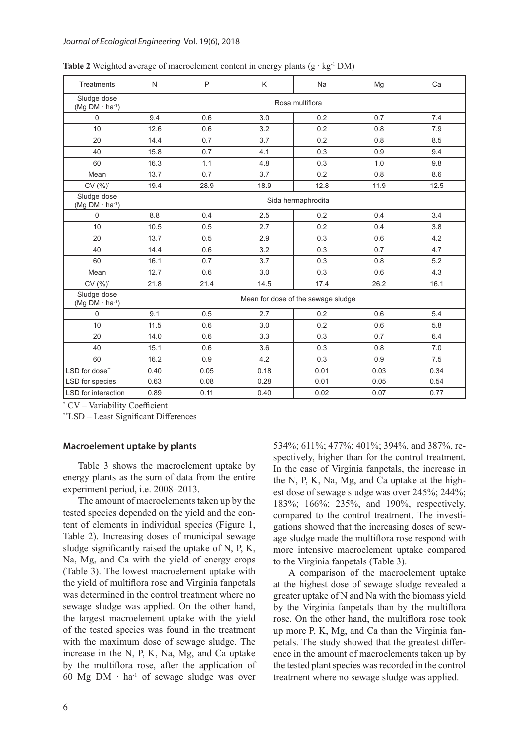| <b>Treatments</b>                      | N                                  | P    | Κ    | Na   | Mg   | Ca   |  |
|----------------------------------------|------------------------------------|------|------|------|------|------|--|
| Sludge dose<br>$(Mg DM·ha-1)$          | Rosa multiflora                    |      |      |      |      |      |  |
| $\mathsf 0$                            | 9.4                                | 0.6  | 3.0  | 0.2  | 0.7  | 7.4  |  |
| 10                                     | 12.6                               | 0.6  | 3.2  | 0.2  | 0.8  | 7.9  |  |
| 20                                     | 14.4                               | 0.7  | 3.7  | 0.2  | 0.8  | 8.5  |  |
| 40                                     | 15.8                               | 0.7  | 4.1  | 0.3  | 0.9  | 9.4  |  |
| 60                                     | 16.3                               | 1.1  | 4.8  | 0.3  | 1.0  | 9.8  |  |
| Mean                                   | 13.7                               | 0.7  | 3.7  | 0.2  | 0.8  | 8.6  |  |
| CV (%)*                                | 19.4                               | 28.9 | 18.9 | 12.8 | 11.9 | 12.5 |  |
| Sludge dose<br>$(Mg DM \cdot ha^{-1})$ | Sida hermaphrodita                 |      |      |      |      |      |  |
| $\mathbf 0$                            | 8.8                                | 0.4  | 2.5  | 0.2  | 0.4  | 3.4  |  |
| 10                                     | 10.5                               | 0.5  | 2.7  | 0.2  | 0.4  | 3.8  |  |
| 20                                     | 13.7                               | 0.5  | 2.9  | 0.3  | 0.6  | 4.2  |  |
| 40                                     | 14.4                               | 0.6  | 3.2  | 0.3  | 0.7  | 4.7  |  |
| 60                                     | 16.1                               | 0.7  | 3.7  | 0.3  | 0.8  | 5.2  |  |
| Mean                                   | 12.7                               | 0.6  | 3.0  | 0.3  | 0.6  | 4.3  |  |
| CV (%)*                                | 21.8                               | 21.4 | 14.5 | 17.4 | 26.2 | 16.1 |  |
| Sludge dose<br>$(Mg DM·ha-1)$          | Mean for dose of the sewage sludge |      |      |      |      |      |  |
| $\mathbf 0$                            | 9.1                                | 0.5  | 2.7  | 0.2  | 0.6  | 5.4  |  |
| 10                                     | 11.5                               | 0.6  | 3.0  | 0.2  | 0.6  | 5.8  |  |
| 20                                     | 14.0                               | 0.6  | 3.3  | 0.3  | 0.7  | 6.4  |  |
| 40                                     | 15.1                               | 0.6  | 3.6  | 0.3  | 0.8  | 7.0  |  |
| 60                                     | 16.2                               | 0.9  | 4.2  | 0.3  | 0.9  | 7.5  |  |
| LSD for dose"                          | 0.40                               | 0.05 | 0.18 | 0.01 | 0.03 | 0.34 |  |
| LSD for species                        | 0.63                               | 0.08 | 0.28 | 0.01 | 0.05 | 0.54 |  |
| LSD for interaction                    | 0.89                               | 0.11 | 0.40 | 0.02 | 0.07 | 0.77 |  |

**Table 2** Weighted average of macroelement content in energy plants  $(g \cdot kg^{-1}DM)$ 

\* CV – Variability Coefficient

\*\*LSD – Least Significant Differences

## **Macroelement uptake by plants**

Table 3 shows the macroelement uptake by energy plants as the sum of data from the entire experiment period, i.e. 2008–2013.

The amount of macroelements taken up by the tested species depended on the yield and the content of elements in individual species (Figure 1, Table 2). Increasing doses of municipal sewage sludge significantly raised the uptake of N, P, K, Na, Mg, and Ca with the yield of energy crops (Table 3). The lowest macroelement uptake with the yield of multiflora rose and Virginia fanpetals was determined in the control treatment where no sewage sludge was applied. On the other hand, the largest macroelement uptake with the yield of the tested species was found in the treatment with the maximum dose of sewage sludge. The increase in the N, P, K, Na, Mg, and Ca uptake by the multiflora rose, after the application of 60 Mg DM ∙ ha-1 of sewage sludge was over

534%; 611%; 477%; 401%; 394%, and 387%, respectively, higher than for the control treatment. In the case of Virginia fanpetals, the increase in the N, P, K, Na, Mg, and Ca uptake at the highest dose of sewage sludge was over 245%; 244%; 183%; 166%; 235%, and 190%, respectively, compared to the control treatment. The investigations showed that the increasing doses of sewage sludge made the multiflora rose respond with more intensive macroelement uptake compared to the Virginia fanpetals (Table 3).

A comparison of the macroelement uptake at the highest dose of sewage sludge revealed a greater uptake of N and Na with the biomass yield by the Virginia fanpetals than by the multiflora rose. On the other hand, the multiflora rose took up more P, K, Mg, and Ca than the Virginia fanpetals. The study showed that the greatest difference in the amount of macroelements taken up by the tested plant species was recorded in the control treatment where no sewage sludge was applied.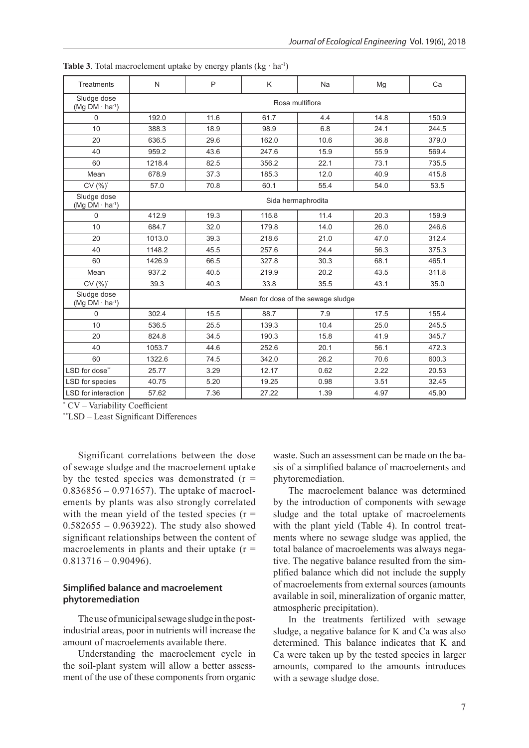| <b>Treatments</b>                      | N                                  | P    | K     | <b>Na</b>          | Mg   | Ca    |  |  |
|----------------------------------------|------------------------------------|------|-------|--------------------|------|-------|--|--|
| Sludge dose<br>$(Mq DM \cdot ha^{-1})$ | Rosa multiflora                    |      |       |                    |      |       |  |  |
| 0                                      | 192.0                              | 11.6 | 61.7  | 4.4                | 14.8 | 150.9 |  |  |
| 10                                     | 388.3                              | 18.9 | 98.9  | 6.8                | 24.1 | 244.5 |  |  |
| 20                                     | 636.5                              | 29.6 | 162.0 | 10.6               | 36.8 | 379.0 |  |  |
| 40                                     | 959.2                              | 43.6 | 247.6 | 15.9               | 55.9 | 569.4 |  |  |
| 60                                     | 1218.4                             | 82.5 | 356.2 | 22.1               | 73.1 | 735.5 |  |  |
| Mean                                   | 678.9                              | 37.3 | 185.3 | 12.0               | 40.9 | 415.8 |  |  |
| CV (%)*                                | 57.0                               | 70.8 | 60.1  | 55.4               | 54.0 | 53.5  |  |  |
| Sludge dose<br>$(Mq DM \cdot ha^{-1})$ |                                    |      |       | Sida hermaphrodita |      |       |  |  |
| $\Omega$                               | 412.9                              | 19.3 | 115.8 | 11.4               | 20.3 | 159.9 |  |  |
| 10                                     | 684.7                              | 32.0 | 179.8 | 14.0               | 26.0 | 246.6 |  |  |
| 20                                     | 1013.0                             | 39.3 | 218.6 | 21.0               | 47.0 | 312.4 |  |  |
| 40                                     | 1148.2                             | 45.5 | 257.6 | 24.4               | 56.3 | 375.3 |  |  |
| 60                                     | 1426.9                             | 66.5 | 327.8 | 30.3               | 68.1 | 465.1 |  |  |
| Mean                                   | 937.2                              | 40.5 | 219.9 | 20.2               | 43.5 | 311.8 |  |  |
| $CV(%)^*$                              | 39.3                               | 40.3 | 33.8  | 35.5               | 43.1 | 35.0  |  |  |
| Sludge dose<br>$(Mg DM \cdot ha^{-1})$ | Mean for dose of the sewage sludge |      |       |                    |      |       |  |  |
| 0                                      | 302.4                              | 15.5 | 88.7  | 7.9                | 17.5 | 155.4 |  |  |
| 10                                     | 536.5                              | 25.5 | 139.3 | 10.4               | 25.0 | 245.5 |  |  |
| 20                                     | 824.8                              | 34.5 | 190.3 | 15.8               | 41.9 | 345.7 |  |  |
| 40                                     | 1053.7                             | 44.6 | 252.6 | 20.1               | 56.1 | 472.3 |  |  |
| 60                                     | 1322.6                             | 74.5 | 342.0 | 26.2               | 70.6 | 600.3 |  |  |
| LSD for dose"                          | 25.77                              | 3.29 | 12.17 | 0.62               | 2.22 | 20.53 |  |  |
| LSD for species                        | 40.75                              | 5.20 | 19.25 | 0.98               | 3.51 | 32.45 |  |  |
| LSD for interaction                    | 57.62                              | 7.36 | 27.22 | 1.39               | 4.97 | 45.90 |  |  |

**Table 3**. Total macroelement uptake by energy plants  $(kg \cdot ha^{-1})$ 

\* CV – Variability Coefficient

\*\*LSD – Least Significant Differences

Significant correlations between the dose of sewage sludge and the macroelement uptake by the tested species was demonstrated  $(r =$ 0.836856 – 0.971657). The uptake of macroelements by plants was also strongly correlated with the mean yield of the tested species  $(r =$  $0.582655 - 0.963922$ . The study also showed significant relationships between the content of macroelements in plants and their uptake  $(r =$  $0.813716 - 0.90496$ .

# **Simplified balance and macroelement phytoremediation**

The use of municipal sewage sludge in the postindustrial areas, poor in nutrients will increase the amount of macroelements available there.

Understanding the macroelement cycle in the soil-plant system will allow a better assessment of the use of these components from organic waste. Such an assessment can be made on the basis of a simplified balance of macroelements and phytoremediation.

The macroelement balance was determined by the introduction of components with sewage sludge and the total uptake of macroelements with the plant yield (Table 4). In control treatments where no sewage sludge was applied, the total balance of macroelements was always negative. The negative balance resulted from the simplified balance which did not include the supply of macroelements from external sources (amounts available in soil, mineralization of organic matter, atmospheric precipitation).

In the treatments fertilized with sewage sludge, a negative balance for K and Ca was also determined. This balance indicates that K and Ca were taken up by the tested species in larger amounts, compared to the amounts introduces with a sewage sludge dose.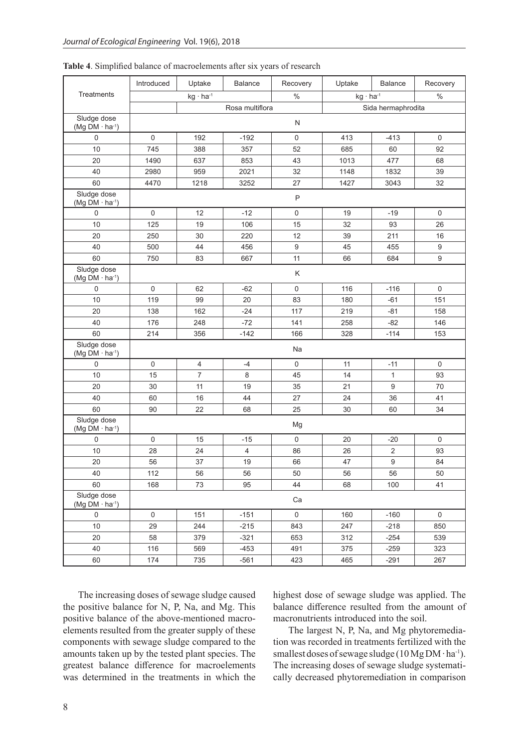|                                                  | Introduced          | Uptake             | <b>Balance</b>  | Recovery                   | Uptake | <b>Balance</b>   | Recovery    |
|--------------------------------------------------|---------------------|--------------------|-----------------|----------------------------|--------|------------------|-------------|
| Treatments                                       |                     | $kg \cdot ha^{-1}$ |                 | $\%$<br>$kg \cdot ha^{-1}$ |        |                  |             |
|                                                  |                     |                    | Rosa multiflora | Sida hermaphrodita         |        |                  |             |
| Sludge dose<br>$(Mg DM·ha-1)$                    | N                   |                    |                 |                            |        |                  |             |
| $\mathbf 0$                                      | $\mathbf 0$         | 192                | $-192$          | $\mathsf{O}\xspace$        | 413    | $-413$           | 0           |
| 10                                               | 745                 | 388                | 357             | 52                         | 685    | 60               | 92          |
| 20                                               | 1490                | 637                | 853             | 43                         | 1013   | 477              | 68          |
| 40                                               | 2980                | 959                | 2021            | 32                         | 1148   | 1832             | 39          |
| 60                                               | 4470                | 1218               | 3252            | 27                         | 1427   | 3043             | 32          |
| Sludge dose<br>(Mg DM $\cdot$ ha <sup>-1</sup> ) |                     |                    |                 | P                          |        |                  |             |
| $\mathsf 0$                                      | $\mathsf 0$         | 12                 | $-12$           | $\mathsf 0$                | 19     | $-19$            | $\mathsf 0$ |
| 10                                               | 125                 | 19                 | 106             | 15                         | 32     | 93               | 26          |
| 20                                               | 250                 | 30                 | 220             | 12                         | 39     | 211              | 16          |
| 40                                               | 500                 | 44                 | 456             | $\boldsymbol{9}$           | 45     | 455              | 9           |
| 60                                               | 750                 | 83                 | 667             | 11                         | 66     | 684              | 9           |
| Sludge dose<br>(Mg DM $\cdot$ ha <sup>-1</sup> ) |                     |                    |                 | K                          |        |                  |             |
| $\mathbf 0$                                      | $\mathbf 0$         | 62                 | $-62$           | 0                          | 116    | $-116$           | $\mathsf 0$ |
| 10                                               | 119                 | 99                 | 20              | 83                         | 180    | $-61$            | 151         |
| 20                                               | 138                 | 162                | $-24$           | 117                        | 219    | $-81$            | 158         |
| 40                                               | 176                 | 248                | $-72$           | 141                        | 258    | $-82$            | 146         |
| 60                                               | 214                 | 356                | $-142$          | 166                        | 328    | $-114$           | 153         |
| Sludge dose<br>$(Mg DM·ha-1)$                    |                     |                    |                 | Na                         |        |                  |             |
| $\mathbf 0$                                      | $\mathsf{O}\xspace$ | $\overline{4}$     | $-4$            | $\mathbf 0$                | 11     | $-11$            | $\mathbf 0$ |
| 10                                               | 15                  | $\overline{7}$     | $\,8\,$         | 45                         | 14     | $\mathbf{1}$     | 93          |
| 20                                               | 30                  | 11                 | 19              | 35                         | 21     | 9                | 70          |
| 40                                               | 60                  | 16                 | 44              | 27                         | 24     | 36               | 41          |
| 60                                               | 90                  | 22                 | 68              | 25                         | 30     | 60               | 34          |
| Sludge dose<br>$(Mg DM·ha-1)$                    | Mg                  |                    |                 |                            |        |                  |             |
| $\mathbf 0$                                      | $\mathsf 0$         | 15                 | $-15$           | $\mathbf 0$                | 20     | $-20$            | 0           |
| 10                                               | 28                  | 24                 | $\overline{4}$  | 86                         | 26     | $\sqrt{2}$       | 93          |
| 20                                               | 56                  | 37                 | 19              | 66                         | 47     | $\boldsymbol{9}$ | 84          |
| 40                                               | 112                 | 56                 | 56              | 50                         | 56     | 56               | 50          |
| 60                                               | 168                 | $73\,$             | 95              | 44                         | 68     | 100              | 41          |
| Sludge dose<br>(Mg DM $\cdot$ ha <sup>-1</sup> ) | Ca                  |                    |                 |                            |        |                  |             |
| $\mathsf{0}$                                     | $\mathbf 0$         | 151                | $-151$          | $\mathbf 0$                | 160    | $-160$           | $\mathbf 0$ |
| 10                                               | 29                  | 244                | $-215$          | 843                        | 247    | $-218$           | 850         |
| $20\,$                                           | 58                  | 379                | $-321$          | 653                        | 312    | $-254$           | 539         |
| 40                                               | 116                 | 569                | $-453$          | 491                        | 375    | $-259$           | 323         |
| 60                                               | 174                 | 735                | $-561$          | 423                        | 465    | $-291$           | 267         |

**Table 4**. Simplified balance of macroelements after six years of research

The increasing doses of sewage sludge caused the positive balance for N, P, Na, and Mg. This positive balance of the above-mentioned macroelements resulted from the greater supply of these components with sewage sludge compared to the amounts taken up by the tested plant species. The greatest balance difference for macroelements was determined in the treatments in which the highest dose of sewage sludge was applied. The balance difference resulted from the amount of macronutrients introduced into the soil.

The largest N, P, Na, and Mg phytoremediation was recorded in treatments fertilized with the smallest doses of sewage sludge (10 Mg DM ⋅ ha<sup>-1</sup>). The increasing doses of sewage sludge systematically decreased phytoremediation in comparison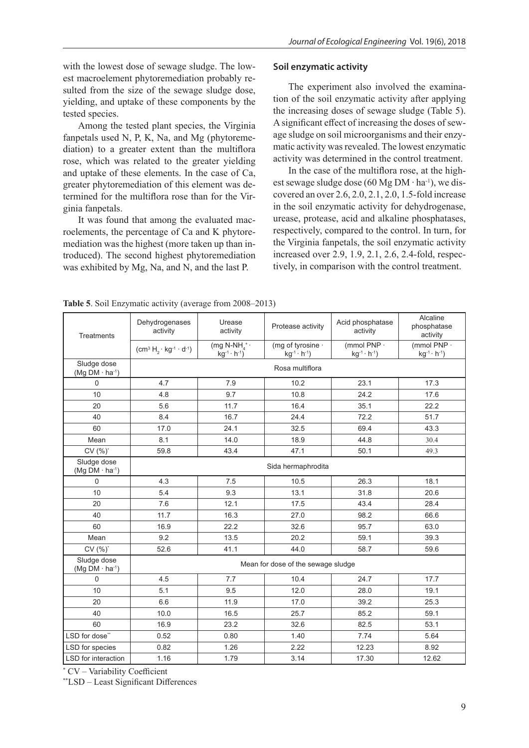with the lowest dose of sewage sludge. The lowest macroelement phytoremediation probably resulted from the size of the sewage sludge dose, yielding, and uptake of these components by the tested species.

Among the tested plant species, the Virginia fanpetals used N, P, K, Na, and Mg (phytoremediation) to a greater extent than the multiflora rose, which was related to the greater yielding and uptake of these elements. In the case of Ca, greater phytoremediation of this element was determined for the multiflora rose than for the Virginia fanpetals.

It was found that among the evaluated macroelements, the percentage of Ca and K phytoremediation was the highest (more taken up than introduced). The second highest phytoremediation was exhibited by Mg, Na, and N, and the last P.

## **Soil enzymatic activity**

The experiment also involved the examination of the soil enzymatic activity after applying the increasing doses of sewage sludge (Table 5). A significant effect of increasing the doses of sewage sludge on soil microorganisms and their enzymatic activity was revealed. The lowest enzymatic activity was determined in the control treatment.

In the case of the multiflora rose, at the highest sewage sludge dose (60 Mg DM  $\cdot$  ha<sup>-1</sup>), we discovered an over 2.6, 2.0, 2.1, 2.0, 1.5-fold increase in the soil enzymatic activity for dehydrogenase, urease, protease, acid and alkaline phosphatases, respectively, compared to the control. In turn, for the Virginia fanpetals, the soil enzymatic activity increased over 2.9, 1.9, 2.1, 2.6, 2.4-fold, respectively, in comparison with the control treatment.

| <b>Treatments</b>                      | Dehydrogenases<br>activity              | Urease<br>activity                                       | Protease activity                           | Acid phosphatase<br>activity            | Alcaline<br>phosphatase<br>activity   |  |  |  |
|----------------------------------------|-----------------------------------------|----------------------------------------------------------|---------------------------------------------|-----------------------------------------|---------------------------------------|--|--|--|
|                                        | $(cm^3 H_2 \cdot kg^{-1} \cdot d^{-1})$ | (mg N-NH $_4$ <sup>+</sup> ·<br>$kg^{-1} \cdot h^{-1}$ ) | (mg of tyrosine ·<br>$kg^{-1} \cdot h^{-1}$ | (mmol PNP ·<br>$kg^{-1} \cdot h^{-1}$ ) | (mmol PNP -<br>$kg^{-1} \cdot h^{-1}$ |  |  |  |
| Sludge dose<br>$(Mg DM·ha-1)$          |                                         | Rosa multiflora                                          |                                             |                                         |                                       |  |  |  |
| $\Omega$                               | 4.7                                     | 7.9                                                      | 10.2                                        | 23.1                                    | 17.3                                  |  |  |  |
| 10                                     | 4.8                                     | 9.7                                                      | 10.8                                        | 24.2                                    | 17.6                                  |  |  |  |
| 20                                     | 5.6                                     | 11.7                                                     | 16.4                                        | 35.1                                    | 22.2                                  |  |  |  |
| 40                                     | 8.4                                     | 16.7                                                     | 24.4                                        | 72.2                                    | 51.7                                  |  |  |  |
| 60                                     | 17.0                                    | 24.1                                                     | 32.5                                        | 69.4                                    | 43.3                                  |  |  |  |
| Mean                                   | 8.1                                     | 14.0                                                     | 18.9                                        | 44.8                                    | 30.4                                  |  |  |  |
| $CV(%)^*$                              | 59.8                                    | 43.4                                                     | 47.1                                        | 50.1                                    | 49.3                                  |  |  |  |
| Sludge dose<br>$(Mg DM \cdot ha^{-1})$ | Sida hermaphrodita                      |                                                          |                                             |                                         |                                       |  |  |  |
| $\Omega$                               | 4.3                                     | 7.5                                                      | 10.5                                        | 26.3                                    | 18.1                                  |  |  |  |
| 10                                     | 5.4                                     | 9.3                                                      | 13.1                                        | 31.8                                    | 20.6                                  |  |  |  |
| 20                                     | 7.6                                     | 12.1                                                     | 17.5                                        | 43.4                                    | 28.4                                  |  |  |  |
| 40                                     | 11.7                                    | 16.3                                                     | 27.0                                        | 98.2                                    | 66.6                                  |  |  |  |
| 60                                     | 16.9                                    | 22.2                                                     | 32.6                                        | 95.7                                    | 63.0                                  |  |  |  |
| Mean                                   | 9.2                                     | 13.5                                                     | 20.2                                        | 59.1                                    | 39.3                                  |  |  |  |
| CV (%)*                                | 52.6                                    | 41.1                                                     | 44.0                                        | 58.7                                    | 59.6                                  |  |  |  |
| Sludge dose<br>$(Mg DM·ha-1)$          | Mean for dose of the sewage sludge      |                                                          |                                             |                                         |                                       |  |  |  |
| $\Omega$                               | 4.5                                     | 7.7                                                      | 10.4                                        | 24.7                                    | 17.7                                  |  |  |  |
| 10                                     | 5.1                                     | 9.5                                                      | 12.0                                        | 28.0                                    | 19.1                                  |  |  |  |
| 20                                     | 6.6                                     | 11.9                                                     | 17.0                                        | 39.2                                    | 25.3                                  |  |  |  |
| 40                                     | 10.0                                    | 16.5                                                     | 25.7                                        | 85.2                                    | 59.1                                  |  |  |  |
| 60                                     | 16.9                                    | 23.2                                                     | 32.6                                        | 82.5                                    | 53.1                                  |  |  |  |
| LSD for dose"                          | 0.52                                    | 0.80                                                     | 1.40                                        | 7.74                                    | 5.64                                  |  |  |  |
| LSD for species                        | 0.82                                    | 1.26                                                     | 2.22                                        | 12.23                                   | 8.92                                  |  |  |  |
| LSD for interaction                    | 1.16                                    | 1.79                                                     | 3.14                                        | 17.30                                   | 12.62                                 |  |  |  |

**Table 5**. Soil Enzymatic activity (average from 2008–2013)

\* CV – Variability Coefficient

\*\*LSD – Least Significant Differences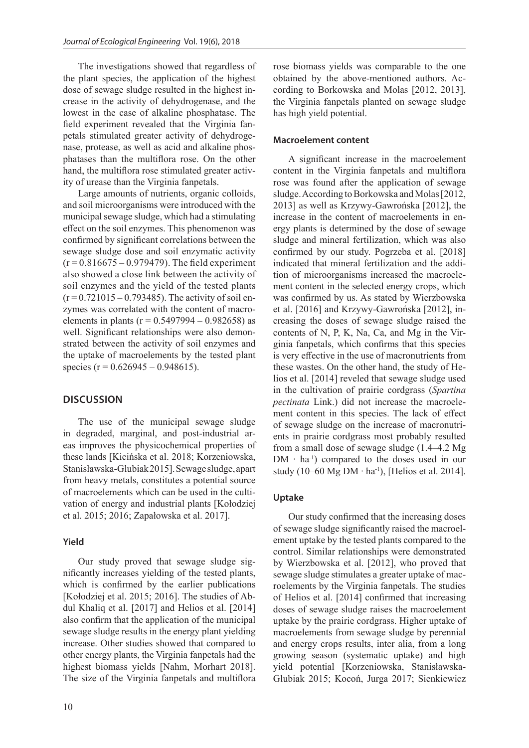The investigations showed that regardless of the plant species, the application of the highest dose of sewage sludge resulted in the highest increase in the activity of dehydrogenase, and the lowest in the case of alkaline phosphatase. The field experiment revealed that the Virginia fanpetals stimulated greater activity of dehydrogenase, protease, as well as acid and alkaline phosphatases than the multiflora rose. On the other hand, the multiflora rose stimulated greater activity of urease than the Virginia fanpetals.

Large amounts of nutrients, organic colloids, and soil microorganisms were introduced with the municipal sewage sludge, which had a stimulating effect on the soil enzymes. This phenomenon was confirmed by significant correlations between the sewage sludge dose and soil enzymatic activity  $(r = 0.816675 - 0.979479)$ . The field experiment also showed a close link between the activity of soil enzymes and the yield of the tested plants  $(r = 0.721015 - 0.793485)$ . The activity of soil enzymes was correlated with the content of macroelements in plants ( $r = 0.5497994 - 0.982658$ ) as well. Significant relationships were also demonstrated between the activity of soil enzymes and the uptake of macroelements by the tested plant species ( $r = 0.626945 - 0.948615$ ).

# **DISCUSSION**

The use of the municipal sewage sludge in degraded, marginal, and post-industrial areas improves the physicochemical properties of these lands [Kicińska et al. 2018; Korzeniowska, Stanisławska-Glubiak 2015]. Sewage sludge, apart from heavy metals, constitutes a potential source of macroelements which can be used in the cultivation of energy and industrial plants [Kołodziej et al. 2015; 2016; Zapałowska et al. 2017].

### **Yield**

Our study proved that sewage sludge significantly increases yielding of the tested plants, which is confirmed by the earlier publications [Kołodziej et al. 2015; 2016]. The studies of Abdul Khaliq et al. [2017] and Helios et al. [2014] also confirm that the application of the municipal sewage sludge results in the energy plant yielding increase. Other studies showed that compared to other energy plants, the Virginia fanpetals had the highest biomass yields [Nahm, Morhart 2018]. The size of the Virginia fanpetals and multiflora

rose biomass yields was comparable to the one obtained by the above-mentioned authors. According to Borkowska and Molas [2012, 2013], the Virginia fanpetals planted on sewage sludge has high yield potential.

## **Macroelement content**

A significant increase in the macroelement content in the Virginia fanpetals and multiflora rose was found after the application of sewage sludge. According to Borkowska and Molas [2012, 2013] as well as Krzywy-Gawrońska [2012], the increase in the content of macroelements in energy plants is determined by the dose of sewage sludge and mineral fertilization, which was also confirmed by our study. Pogrzeba et al. [2018] indicated that mineral fertilization and the addition of microorganisms increased the macroelement content in the selected energy crops, which was confirmed by us. As stated by Wierzbowska et al. [2016] and Krzywy-Gawrońska [2012], increasing the doses of sewage sludge raised the contents of N, P, K, Na, Ca, and Mg in the Virginia fanpetals, which confirms that this species is very effective in the use of macronutrients from these wastes. On the other hand, the study of Helios et al. [2014] reveled that sewage sludge used in the cultivation of prairie cordgrass (*Spartina pectinata* Link.) did not increase the macroelement content in this species. The lack of effect of sewage sludge on the increase of macronutrients in prairie cordgrass most probably resulted from a small dose of sewage sludge (1.4–4.2 Mg DM ∙ ha-1) compared to the doses used in our study (10–60 Mg DM ⋅ ha<sup>-1</sup>), [Helios et al. 2014].

#### **Uptake**

Our study confirmed that the increasing doses of sewage sludge significantly raised the macroelement uptake by the tested plants compared to the control. Similar relationships were demonstrated by Wierzbowska et al. [2012], who proved that sewage sludge stimulates a greater uptake of macroelements by the Virginia fanpetals. The studies of Helios et al. [2014] confirmed that increasing doses of sewage sludge raises the macroelement uptake by the prairie cordgrass. Higher uptake of macroelements from sewage sludge by perennial and energy crops results, inter alia, from a long growing season (systematic uptake) and high yield potential [Korzeniowska, Stanisławska-Glubiak 2015; Kocoń, Jurga 2017; Sienkiewicz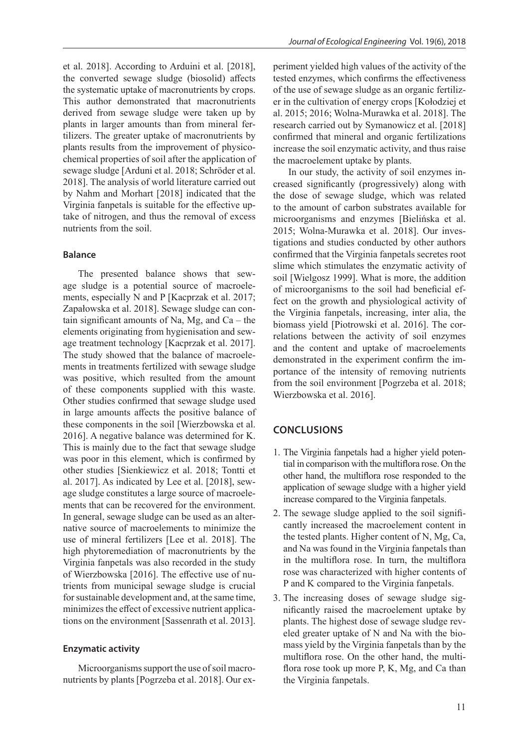et al. 2018]. According to Arduini et al. [2018], the converted sewage sludge (biosolid) affects the systematic uptake of macronutrients by crops. This author demonstrated that macronutrients derived from sewage sludge were taken up by plants in larger amounts than from mineral fertilizers. The greater uptake of macronutrients by plants results from the improvement of physicochemical properties of soil after the application of sewage sludge [Arduni et al. 2018; Schröder et al. 2018]. The analysis of world literature carried out by Nahm and Morhart [2018] indicated that the Virginia fanpetals is suitable for the effective uptake of nitrogen, and thus the removal of excess nutrients from the soil.

#### **Balance**

The presented balance shows that sewage sludge is a potential source of macroelements, especially N and P [Kacprzak et al. 2017; Zapałowska et al. 2018]. Sewage sludge can contain significant amounts of Na, Mg, and Ca – the elements originating from hygienisation and sewage treatment technology [Kacprzak et al. 2017]. The study showed that the balance of macroelements in treatments fertilized with sewage sludge was positive, which resulted from the amount of these components supplied with this waste. Other studies confirmed that sewage sludge used in large amounts affects the positive balance of these components in the soil [Wierzbowska et al. 2016]. A negative balance was determined for K. This is mainly due to the fact that sewage sludge was poor in this element, which is confirmed by other studies [Sienkiewicz et al. 2018; Tontti et al. 2017]. As indicated by Lee et al. [2018], sewage sludge constitutes a large source of macroelements that can be recovered for the environment. In general, sewage sludge can be used as an alternative source of macroelements to minimize the use of mineral fertilizers [Lee et al. 2018]. The high phytoremediation of macronutrients by the Virginia fanpetals was also recorded in the study of Wierzbowska [2016]. The effective use of nutrients from municipal sewage sludge is crucial for sustainable development and, at the same time, minimizes the effect of excessive nutrient applications on the environment [Sassenrath et al. 2013].

## **Enzymatic activity**

Microorganisms support the use of soil macronutrients by plants [Pogrzeba et al. 2018]. Our experiment yielded high values of the activity of the tested enzymes, which confirms the effectiveness of the use of sewage sludge as an organic fertilizer in the cultivation of energy crops [Kołodziej et al. 2015; 2016; Wolna-Murawka et al. 2018]. The research carried out by Symanowicz et al. [2018] confirmed that mineral and organic fertilizations increase the soil enzymatic activity, and thus raise the macroelement uptake by plants.

In our study, the activity of soil enzymes increased significantly (progressively) along with the dose of sewage sludge, which was related to the amount of carbon substrates available for microorganisms and enzymes [Bielińska et al. 2015; Wolna-Murawka et al. 2018]. Our investigations and studies conducted by other authors confirmed that the Virginia fanpetals secretes root slime which stimulates the enzymatic activity of soil [Wielgosz 1999]. What is more, the addition of microorganisms to the soil had beneficial effect on the growth and physiological activity of the Virginia fanpetals, increasing, inter alia, the biomass yield [Piotrowski et al. 2016]. The correlations between the activity of soil enzymes and the content and uptake of macroelements demonstrated in the experiment confirm the importance of the intensity of removing nutrients from the soil environment [Pogrzeba et al. 2018; Wierzbowska et al. 2016].

# **CONCLUSIONS**

- 1. The Virginia fanpetals had a higher yield potential in comparison with the multiflora rose. On the other hand, the multiflora rose responded to the application of sewage sludge with a higher yield increase compared to the Virginia fanpetals.
- 2. The sewage sludge applied to the soil significantly increased the macroelement content in the tested plants. Higher content of N, Mg, Ca, and Na was found in the Virginia fanpetals than in the multiflora rose. In turn, the multiflora rose was characterized with higher contents of P and K compared to the Virginia fanpetals.
- 3. The increasing doses of sewage sludge significantly raised the macroelement uptake by plants. The highest dose of sewage sludge reveled greater uptake of N and Na with the biomass yield by the Virginia fanpetals than by the multiflora rose. On the other hand, the multiflora rose took up more P, K, Mg, and Ca than the Virginia fanpetals.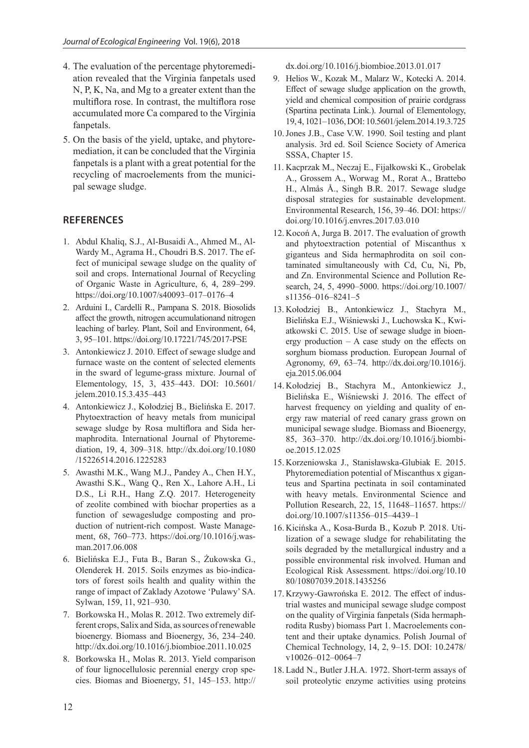- 4. The evaluation of the percentage phytoremediation revealed that the Virginia fanpetals used N, P, K, Na, and Mg to a greater extent than the multiflora rose. In contrast, the multiflora rose accumulated more Ca compared to the Virginia fanpetals.
- 5. On the basis of the yield, uptake, and phytoremediation, it can be concluded that the Virginia fanpetals is a plant with a great potential for the recycling of macroelements from the municipal sewage sludge.

# **REFERENCES**

- 1. Abdul Khaliq, S.J., Al-Busaidi A., Ahmed M., Al-Wardy M., Agrama H., Choudri B.S. 2017. The effect of municipal sewage sludge on the quality of soil and crops. International Journal of Recycling of Organic Waste in Agriculture, 6, 4, 289–299. https://doi.org/10.1007/s40093–017–0176–4
- 2. Arduini I., Cardelli R., Pampana S. 2018. Biosolids affect the growth, nitrogen accumulationand nitrogen leaching of barley. Plant, Soil and Environment, 64, 3, 95–101. https://doi.org/10.17221/745/2017-PSE
- 3. Antonkiewicz J. 2010. Effect of sewage sludge and furnace waste on the content of selected elements in the sward of legume-grass mixture. Journal of Elementology, 15, 3, 435–443. DOI: 10.5601/ jelem.2010.15.3.435–443
- 4. Antonkiewicz J., Kołodziej B., Bielińska E. 2017. Phytoextraction of heavy metals from municipal sewage sludge by Rosa multiflora and Sida hermaphrodita. International Journal of Phytoremediation, 19, 4, 309–318. http://dx.doi.org/10.1080 /15226514.2016.1225283
- 5. Awasthi M.K., Wang M.J., Pandey A., Chen H.Y., Awasthi S.K., Wang Q., Ren X., Lahore A.H., Li D.S., Li R.H., Hang Z.Q. 2017. Heterogeneity of zeolite combined with biochar properties as a function of sewagesludge composting and production of nutrient-rich compost. Waste Management, 68, 760–773. https://doi.org/10.1016/j.wasman.2017.06.008
- 6. Bielińska E.J., Futa B., Baran S., Żukowska G., Olenderek H. 2015. Soils enzymes as bio-indicators of forest soils health and quality within the range of impact of Zaklady Azotowe 'Pulawy' SA. Sylwan, 159, 11, 921–930.
- 7. Borkowska H., Molas R. 2012. Two extremely different crops, Salix and Sida, as sources of renewable bioenergy. Biomass and Bioenergy, 36, 234–240. http://dx.doi.org/10.1016/j.biombioe.2011.10.025
- 8. Borkowska H., Molas R. 2013. Yield comparison of four lignocellulosic perennial energy crop species. Biomas and Bioenergy, 51, 145–153. http://

dx.doi.org/10.1016/j.biombioe.2013.01.017

- 9. Helios W., Kozak M., Malarz W., Kotecki A. 2014. Effect of sewage sludge application on the growth, yield and chemical composition of prairie cordgrass (Spartina pectinata Link.). Journal of Elementology, 19, 4, 1021–1036, DOI: 10.5601/jelem.2014.19.3.725
- 10.Jones J.B., Case V.W. 1990. Soil testing and plant analysis. 3rd ed. Soil Science Society of America SSSA, Chapter 15.
- 11. Kacprzak M., Neczaj E., Fijałkowski K., Grobelak A., Grossem A., Worwag M., Rorat A., Brattebo H., Almås Å., Singh B.R. 2017. Sewage sludge disposal strategies for sustainable development. Environmental Research, 156, 39–46. DOI: https:// doi.org/10.1016/j.envres.2017.03.010
- 12. Kocoń A, Jurga B. 2017. The evaluation of growth and phytoextraction potential of Miscanthus x giganteus and Sida hermaphrodita on soil contaminated simultaneously with Cd, Cu, Ni, Pb, and Zn. Environmental Science and Pollution Research, 24, 5, 4990–5000. https://doi.org/10.1007/ s11356–016–8241–5
- 13. Kołodziej B., Antonkiewicz J., Stachyra M., Bielińska E.J., Wiśniewski J., Luchowska K., Kwiatkowski C. 2015. Use of sewage sludge in bioenergy production  $- A$  case study on the effects on sorghum biomass production. European Journal of Agronomy, 69, 63–74. http://dx.doi.org/10.1016/j. eja.2015.06.004
- 14. Kołodziej B., Stachyra M., Antonkiewicz J., Bielińska E., Wiśniewski J. 2016. The effect of harvest frequency on yielding and quality of energy raw material of reed canary grass grown on municipal sewage sludge. Biomass and Bioenergy, 85, 363–370. http://dx.doi.org/10.1016/j.biombioe.2015.12.025
- 15. Korzeniowska J., Stanisławska-Glubiak E. 2015. Phytoremediation potential of Miscanthus x giganteus and Spartina pectinata in soil contaminated with heavy metals. Environmental Science and Pollution Research, 22, 15, 11648–11657. https:// doi.org/10.1007/s11356–015–4439–1
- 16. Kicińska A., Kosa-Burda B., Kozub P. 2018. Utilization of a sewage sludge for rehabilitating the soils degraded by the metallurgical industry and a possible environmental risk involved. Human and Ecological Risk Assessment. https://doi.org/10.10 80/10807039.2018.1435256
- 17. Krzywy-Gawrońska E. 2012. The effect of industrial wastes and municipal sewage sludge compost on the quality of Virginia fanpetals (Sida hermaphrodita Rusby) biomass Part 1. Macroelements content and their uptake dynamics. Polish Journal of Chemical Technology, 14, 2, 9–15. DOI: 10.2478/ v10026–012–0064–7
- 18. Ladd N., Butler J.H.A. 1972. Short-term assays of soil proteolytic enzyme activities using proteins